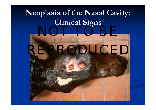# **Neoplasia Neoplasia of the Nasal Cavity: of the Nasal Cavity: Clinical Signs Clinical Signs**

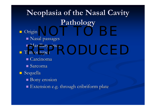# **Neoplasia of the Nasal Cavity Neoplasia of the Nasal Cavity Pathology Pathology**

 Origin Nasal passages  $\blacksquare$  Maxillary sinus **Tumor types**  $\blacksquare$  Carcinoma  $\blacksquare$  Sarcoma  $\blacksquare$  Sequella  $\blacksquare$  Bony erosion Extension e.g. through cribriform plate NOT TO BE A REPORT OF THE SERVICE OF THE SERVICE OF THE SERVICE OF THE SERVICE OF THE SERVICE OF THE SERVICE O<br>NOTE: The Beauty of the Service of the Service of the Service of the Service of the Service of the Service of represent the contract of the contract of the contract of the contract of the contract of the contract of the contract of the contract of the contract of the contract of the contract of the contract of the contract of the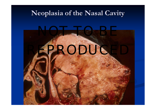## **Neoplasia Neoplasia of the Nasal Cavity of the Nasal Cavity**

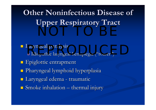**Other Noninfectious Disease of Upper Respiratory Tract** NOT DE L'ANGELIA DE L'ANGELIA DE L'ANGELIA DE L'ANGELIA DE L'ANGELIA DE L'ANGELIA DE L'ANGELIA DE L'ANGELIA DE<br>Notas de l'Angelia de l'Angelia de l'Angelia de l'Angelia de L'Angelia de L'Angelia de L'Angelia de L'Angelia

 $\blacksquare$  Laryngeal paralysis ■ Idiopathic laryngeal hemiplegia ("roarer" )  $\blacksquare$  Epiglottic entrapment Pharyngeal lymphoid hyperplasia Pharyngeal lymphoid hyperplasia  $\blacksquare$  Laryngeal edema - traumatic  $\blacksquare$  Smoke inhalation  $\blacksquare$  $-$  thermal injury aryngeal paralysis<br>• Idiopathic laryngeal hemiplegia ("roarer")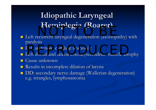## **Idiopathic Laryngeal Idiopathic Laryngeal Hemiplegia Hemiplegia (Roarer) (Roarer)** ACHAPIC SIA (ACAICI)

- $\blacksquare$  Left recurrent laryngeal degeneration (axonopathy) with paralysis paralysis
- Left arytenoid cartilage immobile Left arytenoid cartilage immobile eft arytenoid cartilage immobile<br>eft dorsal and lateral cricoarytenoideus muscle atrop
- **Left dorsal and lateral cricoarytenoideus muscle atrophy**
- Cause unknown
- **Service Service** Results in incomplete dilation of larynx
- **DD:** secondary nerve damage (Wallerian degeneration) e.g. strangles, lymphosarcoma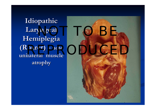**Idiopathic Idiopathic Hemiplegia Hemiplegia (Roarer) – note unilateral muscle unilateral muscle atrophy atrophy**

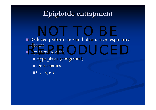### **Epiglottic entrapment**

Reduced performance and obstructive respiratory disease

ensease<br>Epiglottal lesions Hypoplasia (congenital) **Deformaties**  $\blacksquare$  Cysts, etc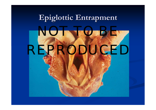# **Epiglottic Epiglottic Entrapment Entrapment**

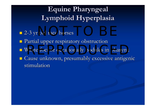# **Equine Pharyngeal Equine Pharyngeal Lymphoid Hyperplasia Lymphoid Hyperplasia**

- 2-3 yr old race horses
- Partial upper respiratory obstruction Partial upper respiratory obstruction
- **E** White foci or occasionally nodules in pharynx
- **E** Cause unknown, presumably excessive antigenic stimulation